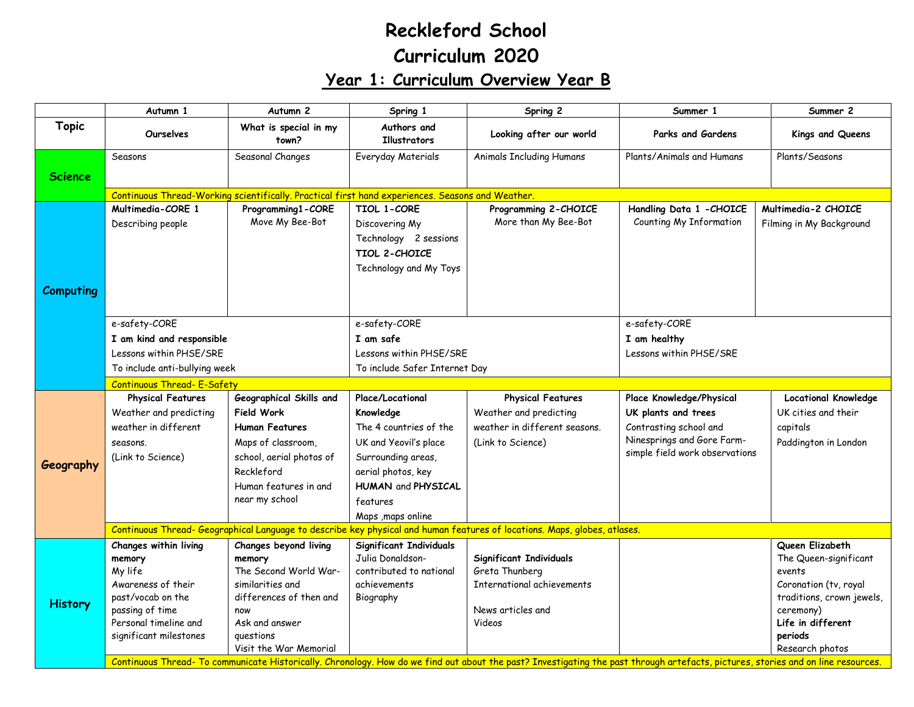## **Reckleford School Curriculum 2020 Year 1: Curriculum Overview Year B**

|                  | Autumn 1                           | Autumn <sub>2</sub>                                                                              | Spring 1                           | Spring 2                                                                                                                  | Summer 1                       | Summer 2                    |  |  |  |
|------------------|------------------------------------|--------------------------------------------------------------------------------------------------|------------------------------------|---------------------------------------------------------------------------------------------------------------------------|--------------------------------|-----------------------------|--|--|--|
| <b>Topic</b>     | <b>Ourselves</b>                   | What is special in my<br>town?                                                                   | Authors and<br><b>Illustrators</b> | Looking after our world                                                                                                   | Parks and Gardens              | Kings and Queens            |  |  |  |
|                  | Seasons                            | Seasonal Changes                                                                                 | Everyday Materials                 | <b>Animals Including Humans</b>                                                                                           | Plants/Animals and Humans      | Plants/Seasons              |  |  |  |
| <b>Science</b>   |                                    |                                                                                                  |                                    |                                                                                                                           |                                |                             |  |  |  |
|                  |                                    | Continuous Thread-Working scientifically. Practical first hand experiences. Seasons and Weather. |                                    |                                                                                                                           |                                |                             |  |  |  |
|                  | Multimedia-CORE 1                  | Programming1-CORE                                                                                | TIOL 1-CORE                        | Programming 2-CHOICE                                                                                                      | Handling Data 1 - CHOICE       | Multimedia-2 CHOICE         |  |  |  |
|                  | Describing people                  | Move My Bee-Bot                                                                                  | Discovering My                     | More than My Bee-Bot                                                                                                      | Counting My Information        | Filming in My Background    |  |  |  |
|                  |                                    |                                                                                                  | Technology 2 sessions              |                                                                                                                           |                                |                             |  |  |  |
|                  |                                    |                                                                                                  | <b>TIOL 2-CHOICE</b>               |                                                                                                                           |                                |                             |  |  |  |
|                  |                                    |                                                                                                  | Technology and My Toys             |                                                                                                                           |                                |                             |  |  |  |
|                  |                                    |                                                                                                  |                                    |                                                                                                                           |                                |                             |  |  |  |
| <b>Computing</b> |                                    |                                                                                                  |                                    |                                                                                                                           |                                |                             |  |  |  |
|                  |                                    |                                                                                                  |                                    |                                                                                                                           |                                |                             |  |  |  |
|                  | e-safety-CORE                      |                                                                                                  | e-safety-CORE                      |                                                                                                                           | e-safety-CORE                  |                             |  |  |  |
|                  | I am kind and responsible          |                                                                                                  | I am safe                          |                                                                                                                           | I am healthy                   |                             |  |  |  |
|                  | Lessons within PHSE/SRE            |                                                                                                  | Lessons within PHSE/SRE            |                                                                                                                           | Lessons within PHSE/SRE        |                             |  |  |  |
|                  | To include anti-bullying week      |                                                                                                  | To include Safer Internet Day      |                                                                                                                           |                                |                             |  |  |  |
|                  | <b>Continuous Thread- E-Safety</b> |                                                                                                  |                                    |                                                                                                                           |                                |                             |  |  |  |
|                  | <b>Physical Features</b>           | Geographical Skills and                                                                          | Place/Locational                   | <b>Physical Features</b>                                                                                                  | Place Knowledge/Physical       | <b>Locational Knowledge</b> |  |  |  |
|                  |                                    |                                                                                                  |                                    | Weather and predicting                                                                                                    |                                |                             |  |  |  |
|                  | Weather and predicting             | <b>Field Work</b>                                                                                | Knowledge                          |                                                                                                                           | UK plants and trees            | UK cities and their         |  |  |  |
|                  | weather in different               | <b>Human Features</b>                                                                            | The 4 countries of the             | weather in different seasons.                                                                                             | Contrasting school and         | capitals                    |  |  |  |
|                  | seasons.                           | Maps of classroom,                                                                               | UK and Yeovil's place              | (Link to Science)                                                                                                         | Ninesprings and Gore Farm-     | Paddington in London        |  |  |  |
|                  | (Link to Science)                  | school, aerial photos of                                                                         | Surrounding areas,                 |                                                                                                                           | simple field work observations |                             |  |  |  |
| Geography        |                                    | Reckleford                                                                                       | aerial photos, key                 |                                                                                                                           |                                |                             |  |  |  |
|                  |                                    | Human features in and                                                                            | HUMAN and PHYSICAL                 |                                                                                                                           |                                |                             |  |  |  |
|                  |                                    | near my school                                                                                   | features                           |                                                                                                                           |                                |                             |  |  |  |
|                  |                                    |                                                                                                  | Maps , maps online                 |                                                                                                                           |                                |                             |  |  |  |
|                  |                                    |                                                                                                  |                                    | Continuous Thread- Geographical Language to describe key physical and human features of locations. Maps, globes, atlases. |                                |                             |  |  |  |
|                  | Changes within living              | Changes beyond living                                                                            | Significant Individuals            |                                                                                                                           |                                | Queen Elizabeth             |  |  |  |
|                  | memory                             | memory                                                                                           | Julia Donaldson-                   | Significant Individuals                                                                                                   |                                | The Queen-significant       |  |  |  |
|                  | My life                            | The Second World War-                                                                            | contributed to national            | Greta Thunberg                                                                                                            |                                | events                      |  |  |  |
|                  | Awareness of their                 | similarities and                                                                                 | achievements                       | International achievements                                                                                                |                                | Coronation (tv, royal       |  |  |  |
| <b>History</b>   | past/vocab on the                  | differences of then and                                                                          | Biography                          |                                                                                                                           |                                | traditions, crown jewels,   |  |  |  |
|                  | passing of time                    | now                                                                                              |                                    | News articles and                                                                                                         |                                | ceremony)                   |  |  |  |
|                  | Personal timeline and              | Ask and answer                                                                                   |                                    | Videos                                                                                                                    |                                | Life in different           |  |  |  |
|                  | significant milestones             | questions<br>Visit the War Memorial                                                              |                                    |                                                                                                                           |                                | periods<br>Research photos  |  |  |  |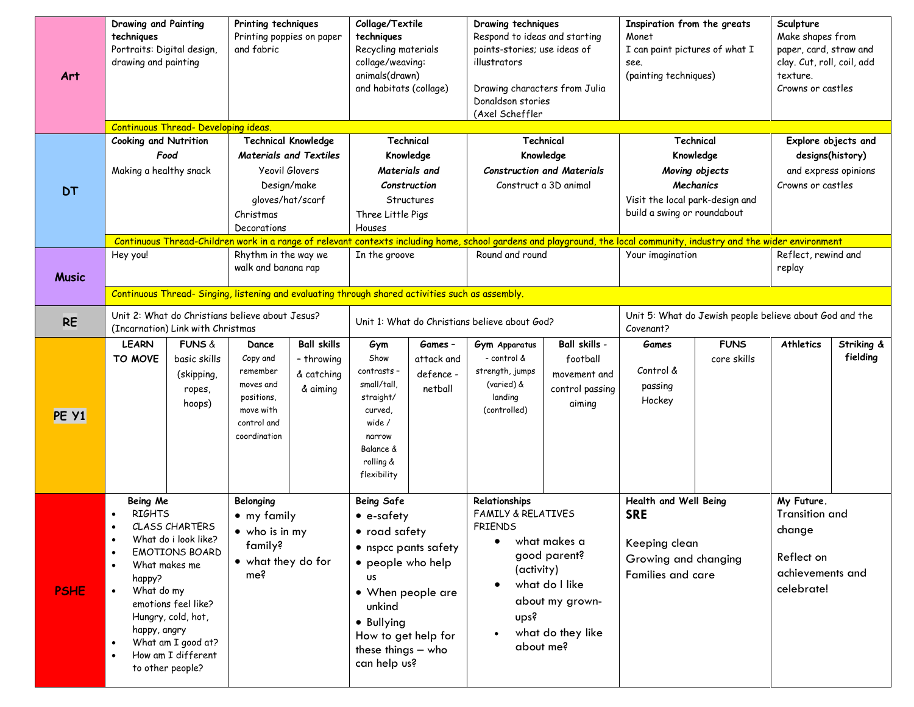| Art          | <b>Drawing and Painting</b><br>Printing techniques<br>techniques<br>Printing poppies on paper<br>Portraits: Digital design,<br>and fabric<br>drawing and painting<br>Continuous Thread- Developing ideas.<br><b>Cooking and Nutrition</b>                                       |                                                |                                                                                             | Collage/Textile<br>techniques<br>Recycling materials<br>collage/weaving:<br>animals(drawn)<br>and habitats (collage) |                                                                                                                                                                                              | Drawing techniques<br>Respond to ideas and starting<br>points-stories; use ideas of<br>illustrators<br>Drawing characters from Julia<br>Donaldson stories<br>(Axel Scheffler |                                                                                                     | Inspiration from the greats<br>Monet<br>I can paint pictures of what I<br>see.<br>(painting techniques) |                                                                                                          | Sculpture<br>Make shapes from<br>paper, card, straw and<br>clay. Cut, roll, coil, add<br>texture.<br>Crowns or castles |                                                                                               |            |
|--------------|---------------------------------------------------------------------------------------------------------------------------------------------------------------------------------------------------------------------------------------------------------------------------------|------------------------------------------------|---------------------------------------------------------------------------------------------|----------------------------------------------------------------------------------------------------------------------|----------------------------------------------------------------------------------------------------------------------------------------------------------------------------------------------|------------------------------------------------------------------------------------------------------------------------------------------------------------------------------|-----------------------------------------------------------------------------------------------------|---------------------------------------------------------------------------------------------------------|----------------------------------------------------------------------------------------------------------|------------------------------------------------------------------------------------------------------------------------|-----------------------------------------------------------------------------------------------|------------|
|              |                                                                                                                                                                                                                                                                                 |                                                | <b>Technical Knowledge</b>                                                                  |                                                                                                                      | Technical                                                                                                                                                                                    |                                                                                                                                                                              | Technical                                                                                           |                                                                                                         | Technical                                                                                                |                                                                                                                        | Explore objects and                                                                           |            |
|              | Food                                                                                                                                                                                                                                                                            |                                                | <b>Materials and Textiles</b>                                                               |                                                                                                                      | Knowledge                                                                                                                                                                                    |                                                                                                                                                                              | Knowledge                                                                                           |                                                                                                         | Knowledge                                                                                                |                                                                                                                        | designs(history)                                                                              |            |
|              | Making a healthy snack                                                                                                                                                                                                                                                          |                                                | Yeovil Glovers                                                                              |                                                                                                                      | Materials and                                                                                                                                                                                |                                                                                                                                                                              | <b>Construction and Materials</b>                                                                   |                                                                                                         | Moving objects                                                                                           |                                                                                                                        | and express opinions                                                                          |            |
| <b>DT</b>    |                                                                                                                                                                                                                                                                                 |                                                | Design/make                                                                                 |                                                                                                                      | Construction                                                                                                                                                                                 |                                                                                                                                                                              | Construct a 3D animal                                                                               |                                                                                                         | Mechanics                                                                                                |                                                                                                                        | Crowns or castles                                                                             |            |
|              |                                                                                                                                                                                                                                                                                 |                                                | gloves/hat/scarf                                                                            |                                                                                                                      |                                                                                                                                                                                              | Structures                                                                                                                                                                   |                                                                                                     |                                                                                                         | Visit the local park-design and<br>build a swing or roundabout                                           |                                                                                                                        |                                                                                               |            |
|              |                                                                                                                                                                                                                                                                                 |                                                | Christmas<br>Decorations                                                                    |                                                                                                                      | Three Little Pigs<br>Houses                                                                                                                                                                  |                                                                                                                                                                              |                                                                                                     |                                                                                                         |                                                                                                          |                                                                                                                        |                                                                                               |            |
|              |                                                                                                                                                                                                                                                                                 |                                                |                                                                                             |                                                                                                                      | Continuous Thread-Children work in a range of relevant contexts including home, school gardens and playground, the local community, industry and the wider environment                       |                                                                                                                                                                              |                                                                                                     |                                                                                                         |                                                                                                          |                                                                                                                        |                                                                                               |            |
|              | Hey you!                                                                                                                                                                                                                                                                        |                                                | Rhythm in the way we                                                                        |                                                                                                                      | In the groove                                                                                                                                                                                |                                                                                                                                                                              | Round and round                                                                                     |                                                                                                         | Your imagination                                                                                         |                                                                                                                        | Reflect, rewind and                                                                           |            |
| <b>Music</b> |                                                                                                                                                                                                                                                                                 |                                                | walk and banana rap                                                                         |                                                                                                                      |                                                                                                                                                                                              |                                                                                                                                                                              |                                                                                                     |                                                                                                         |                                                                                                          |                                                                                                                        | replay                                                                                        |            |
|              | Continuous Thread- Singing, listening and evaluating through shared activities such as assembly.                                                                                                                                                                                |                                                |                                                                                             |                                                                                                                      |                                                                                                                                                                                              |                                                                                                                                                                              |                                                                                                     |                                                                                                         |                                                                                                          |                                                                                                                        |                                                                                               |            |
| <b>RE</b>    | Unit 2: What do Christians believe about Jesus?<br>(Incarnation) Link with Christmas                                                                                                                                                                                            |                                                |                                                                                             | Unit 1: What do Christians believe about God?                                                                        |                                                                                                                                                                                              | Unit 5: What do Jewish people believe about God and the<br>Covenant?                                                                                                         |                                                                                                     |                                                                                                         |                                                                                                          |                                                                                                                        |                                                                                               |            |
|              | <b>LEARN</b>                                                                                                                                                                                                                                                                    | <b>FUNS &amp;</b>                              | Dance                                                                                       | <b>Ball skills</b>                                                                                                   | Gym                                                                                                                                                                                          | Games -                                                                                                                                                                      | Gym Apparatus                                                                                       | Ball skills -                                                                                           | Games                                                                                                    | <b>FUNS</b>                                                                                                            | <b>Athletics</b>                                                                              | Striking & |
| PE Y1        | TO MOVE                                                                                                                                                                                                                                                                         | basic skills<br>(skipping,<br>ropes,<br>hoops) | Copy and<br>remember<br>moves and<br>positions,<br>move with<br>control and<br>coordination | - throwing<br>& catching<br>& aiming                                                                                 | Show<br>contrasts -<br>small/tall,<br>straight/<br>curved,<br>wide /<br>narrow<br>Balance &<br>rolling &<br>flexibility                                                                      | attack and<br>defence -<br>netball                                                                                                                                           | - control &<br>strength, jumps<br>(varied) &<br>landing<br>(controlled)                             | football<br>movement and<br>control passing<br>aiming                                                   | Control &<br>passing<br>Hockey                                                                           | core skills                                                                                                            |                                                                                               | fielding   |
| <b>PSHE</b>  | Being Me<br><b>RIGHTS</b><br>CLASS CHARTERS<br>What do i look like?<br><b>EMOTIONS BOARD</b><br>What makes me<br>happy?<br>What do my<br>$\bullet$<br>emotions feel like?<br>Hungry, cold, hot,<br>happy, angry<br>What am I good at?<br>How am I different<br>to other people? |                                                | Belonging<br>• my family<br>$\bullet$ who is in my<br>family?<br>• what they do for<br>me?  |                                                                                                                      | <b>Being Safe</b><br>• e-safety<br>• road safety<br>• people who help<br><b>US</b><br>• When people are<br>unkind<br>• Bullying<br>How to get help for<br>these things - who<br>can help us? | • nspcc pants safety                                                                                                                                                         | Relationships<br><b>FAMILY &amp; RELATIVES</b><br><b>FRIENDS</b><br>(activity)<br>ups?<br>about me? | what makes a<br>good parent?<br>what do I like<br>about my grown-<br>what do they like                  | Health and Well Being<br><b>SRE</b><br>Keeping clean<br>Growing and changing<br><b>Families and care</b> |                                                                                                                        | My Future.<br><b>Transition and</b><br>change<br>Reflect on<br>achievements and<br>celebrate! |            |